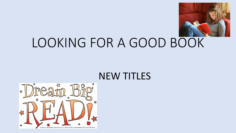

# LOOKING FOR A GOOD BOOK

#### NEW TITLES

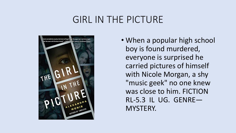### GIRL IN THE PICTURE



• When a popular high school boy is found murdered, everyone is surprised he carried pictures of himself with Nicole Morgan, a shy "music geek" no one knew was close to him. FICTION RL-5.3 IL UG. GENRE— MYSTERY.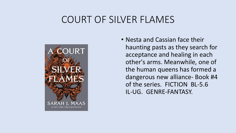### COURT OF SILVER FLAMES



• Nesta and Cassian face their haunting pasts as they search for acceptance and healing in each other's arms. Meanwhile, one of the human queens has formed a dangerous new alliance- Book #4 of the series. FICTION BL-5.6 IL-UG. GENRE-FANTASY.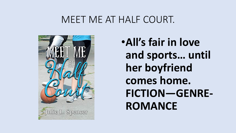#### MEET ME AT HALF COURT.



•**All's fair in love and sports… until her boyfriend comes home. FICTION—GENRE-ROMANCE**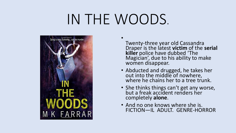# IN THE WOODS.

•



Twenty-three year old Cassandra Draper is the latest **victim** of the **serial killer** police have dubbed 'The Magician', due to his ability to make women disappear.

- Abducted and drugged, he takes her out into the middle of nowhere, where he chains her to a tree trunk.
- She thinks things can't get any worse, but a freak accident renders her completely **alone**.
- And no one knows where she is. FICTION—IL ADULT. GENRE-HORROR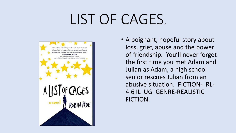# LIST OF CAGES.



• A poignant, hopeful story about loss, grief, abuse and the power of friendship. You'll never forget the first time you met Adam and Julian as Adam, a high school senior rescues Julian from an abusive situation. FICTION- RL-4.6 IL UG GENRE-REALISTIC FICTION.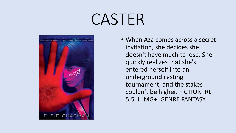# CASTER



• When Aza comes across a secret invitation, she decides she doesn't have much to lose. She quickly realizes that she's entered herself into an underground casting tournament, and the stakes couldn't be higher. FICTION RL 5.5 IL MG+ GENRE FANTASY.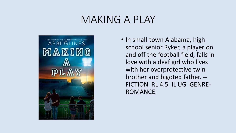## MAKING A PLAY



• In small-town Alabama, highschool senior Ryker, a player on and off the football field, falls in love with a deaf girl who lives with her overprotective twin brother and bigoted father. -- FICTION RL 4.5 IL UG GENRE-ROMANCE.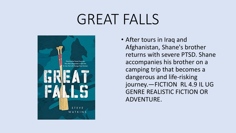# GREAT FALLS



• After tours in Iraq and Afghanistan, Shane's brother returns with severe PTSD. Shane accompanies his brother on a camping trip that becomes a dangerous and life-risking journey.—FICTION RL 4.9 IL UG GENRE REALISTIC FICTION OR ADVENTURE.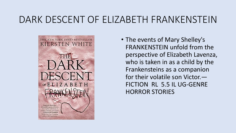## DARK DESCENT OF ELIZABETH FRANKENSTEIN



• The events of Mary Shelley's FRANKENSTEIN unfold from the perspective of Elizabeth Lavenza, who is taken in as a child by the Frankensteins as a companion for their volatile son Victor.— FICTION RL 5.5 IL UG-GENRE HORROR STORIES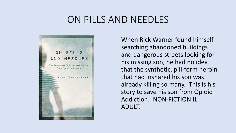### ON PILLS AND NEEDLES



When Rick Warner found himself searching abandoned buildings and dangerous streets looking for his missing son, he had no idea that the synthetic, pill-form heroin that had insnared his son was already killing so many. This is his story to save his son from Opioid Addiction. NON-FICTION IL ADULT.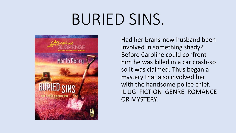# BURIED SINS.



Had her brans-new husband been involved in something shady? Before Caroline could confront him he was killed in a car crash-so so it was claimed. Thus began a mystery that also involved her with the handsome police chief. IL UG FICTION GENRE ROMANCE OR MYSTERY.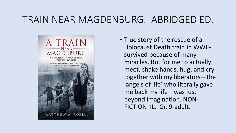## TRAIN NEAR MAGDENBURG. ABRIDGED ED.



• True story of the rescue of a Holocaust Death train in WWII-I survived because of many miracles. But for me to actually meet, shake hands, hug, and cry together with my liberators—the 'angels of life' who literally gave me back my life—was just beyond imagination. NON-FICTION IL. Gr. 9-adult.